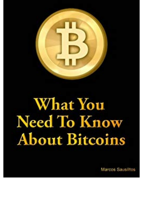

## **What You** Need To Know **About Bitcoins**

Marcos Sausilfos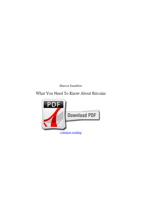*Marcos Sausilitos*

## **What You Need To Know About Bitcoins**

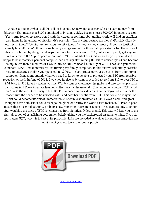What is a Bitcoin?What is all this talk of bitcoins? (A new digital currency) Can I earn money from bitcoins? That meant that \$100 committed to bitcoins quickly became near \$300,000 in under a season. (Yes!). Any former investors bored with the current algorithm robot trading world will find an excellent new home in the trading of bitcoins. (It's possible). Can bitcoins destroy the globe? (Possibly) Exactly what is a bitcoin? Bitcoins are, regarding to bitcoin.org, "a peer-to-peer currency. If you are hesitant to actually buy BTC, you' Of course such crazy swings are not for those with poor stomachs. The scope of this text is bound by design, and skips the more technical areas of BTC, but should quickly get anyone unfamiliar with BTC up to speed in no time.e. YOU).But what does this mean for you personally?ll be happy to hear that your personal computer can actually start mining BTC with unused cycles and become set up in less than 5 minutes.01 USD in July of 2010 to near \$30 in July of 2011. (Yes, and you could eliminate) MAY I make money by just running my family computer? In this text we will briefly describe how to get started trading your personal BTC, how to start producing your own BTC from your home computer, & most importantly what you need to know to be able to protected your BTC from feasible reduction or theft. In June of 2011, I watched in glee as bitcoins proceeded to go from \$15 to over \$30 to \$.01 back to \$18 in just a matter of days. Will bitcoins revolutionize the globe and free the people from fiat currencies? These tasks are handled collectively by the network" The technology behind BTC could make also the most tech savvy' This eBook is intended to provide an instant background and offer the reader with the chance to be involved with, and possibly benefit from, BTC. This could do it again, or they could become worthless, immediately.A bitcoin is abbreviated as BTC.s eyes bleed. And great thoughts have both said it could reshape the globe or destroy the world as we realize it. (i. Peer-to-peer means that no central authority problems new money or tracks transactions. They captured my attention after watching the price of BTC (bitcoins) rise from significantly less than \$. This text will lead you in the right direction of establishing your miner, briefly giving you the background essential to mine. If you do opt to mine BTC, which is in fact quite profitable, links are provided as well as information regarding the equipment you will have to optimize profits.



[continue reading](http://bit.ly/2Tge8Fv)